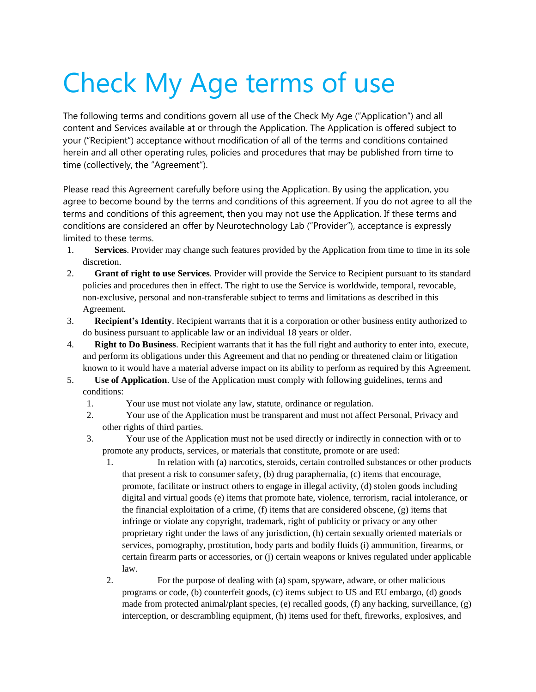## Check My Age terms of use

The following terms and conditions govern all use of the Check My Age ("Application") and all content and Services available at or through the Application. The Application is offered subject to your ("Recipient") acceptance without modification of all of the terms and conditions contained herein and all other operating rules, policies and procedures that may be published from time to time (collectively, the "Agreement").

Please read this Agreement carefully before using the Application. By using the application, you agree to become bound by the terms and conditions of this agreement. If you do not agree to all the terms and conditions of this agreement, then you may not use the Application. If these terms and conditions are considered an offer by Neurotechnology Lab ("Provider"), acceptance is expressly limited to these terms.

- 1. **Services**. Provider may change such features provided by the Application from time to time in its sole discretion.
- 2. **Grant of right to use Services**. Provider will provide the Service to Recipient pursuant to its standard policies and procedures then in effect. The right to use the Service is worldwide, temporal, revocable, non-exclusive, personal and non-transferable subject to terms and limitations as described in this Agreement.
- 3. **Recipient's Identity**. Recipient warrants that it is a corporation or other business entity authorized to do business pursuant to applicable law or an individual 18 years or older.
- 4. **Right to Do Business**. Recipient warrants that it has the full right and authority to enter into, execute, and perform its obligations under this Agreement and that no pending or threatened claim or litigation known to it would have a material adverse impact on its ability to perform as required by this Agreement.
- 5. **Use of Application**. Use of the Application must comply with following guidelines, terms and conditions:
	- 1. Your use must not violate any law, statute, ordinance or regulation.
	- 2. Your use of the Application must be transparent and must not affect Personal, Privacy and other rights of third parties.
	- 3. Your use of the Application must not be used directly or indirectly in connection with or to promote any products, services, or materials that constitute, promote or are used:
		- 1. In relation with (a) narcotics, steroids, certain controlled substances or other products that present a risk to consumer safety, (b) drug paraphernalia, (c) items that encourage, promote, facilitate or instruct others to engage in illegal activity, (d) stolen goods including digital and virtual goods (e) items that promote hate, violence, terrorism, racial intolerance, or the financial exploitation of a crime, (f) items that are considered obscene, (g) items that infringe or violate any copyright, trademark, right of publicity or privacy or any other proprietary right under the laws of any jurisdiction, (h) certain sexually oriented materials or services, pornography, prostitution, body parts and bodily fluids (i) ammunition, firearms, or certain firearm parts or accessories, or (j) certain weapons or knives regulated under applicable law.
		- 2. For the purpose of dealing with (a) spam, spyware, adware, or other malicious programs or code, (b) counterfeit goods, (c) items subject to US and EU embargo, (d) goods made from protected animal/plant species, (e) recalled goods, (f) any hacking, surveillance, (g) interception, or descrambling equipment, (h) items used for theft, fireworks, explosives, and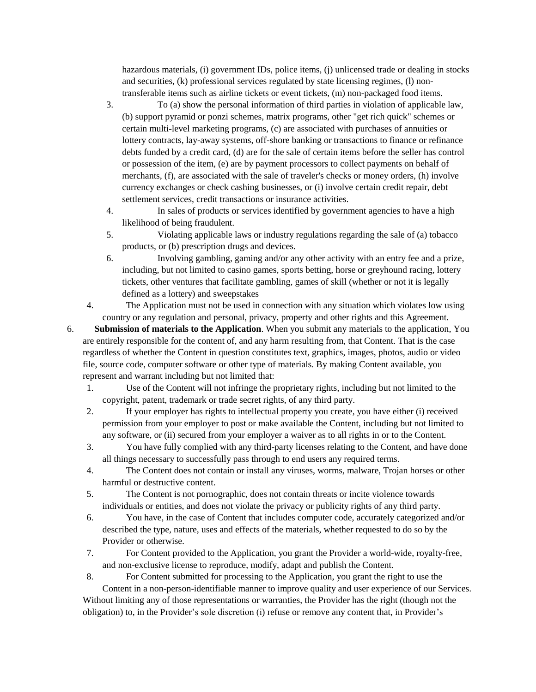hazardous materials, (i) government IDs, police items, (j) unlicensed trade or dealing in stocks and securities, (k) professional services regulated by state licensing regimes, (l) nontransferable items such as airline tickets or event tickets, (m) non-packaged food items.

- 3. To (a) show the personal information of third parties in violation of applicable law, (b) support pyramid or ponzi schemes, matrix programs, other "get rich quick" schemes or certain multi-level marketing programs, (c) are associated with purchases of annuities or lottery contracts, lay-away systems, off-shore banking or transactions to finance or refinance debts funded by a credit card, (d) are for the sale of certain items before the seller has control or possession of the item, (e) are by payment processors to collect payments on behalf of merchants, (f), are associated with the sale of traveler's checks or money orders, (h) involve currency exchanges or check cashing businesses, or (i) involve certain credit repair, debt settlement services, credit transactions or insurance activities.
- 4. In sales of products or services identified by government agencies to have a high likelihood of being fraudulent.
- 5. Violating applicable laws or industry regulations regarding the sale of (a) tobacco products, or (b) prescription drugs and devices.
- 6. Involving gambling, gaming and/or any other activity with an entry fee and a prize, including, but not limited to casino games, sports betting, horse or greyhound racing, lottery tickets, other ventures that facilitate gambling, games of skill (whether or not it is legally defined as a lottery) and sweepstakes
- 4. The Application must not be used in connection with any situation which violates low using country or any regulation and personal, privacy, property and other rights and this Agreement.
- 6. **Submission of materials to the Application**. When you submit any materials to the application, You are entirely responsible for the content of, and any harm resulting from, that Content. That is the case regardless of whether the Content in question constitutes text, graphics, images, photos, audio or video file, source code, computer software or other type of materials. By making Content available, you represent and warrant including but not limited that:
	- 1. Use of the Content will not infringe the proprietary rights, including but not limited to the copyright, patent, trademark or trade secret rights, of any third party.
	- 2. If your employer has rights to intellectual property you create, you have either (i) received permission from your employer to post or make available the Content, including but not limited to any software, or (ii) secured from your employer a waiver as to all rights in or to the Content.
	- 3. You have fully complied with any third-party licenses relating to the Content, and have done all things necessary to successfully pass through to end users any required terms.
	- 4. The Content does not contain or install any viruses, worms, malware, Trojan horses or other harmful or destructive content.
	- 5. The Content is not pornographic, does not contain threats or incite violence towards individuals or entities, and does not violate the privacy or publicity rights of any third party.
	- 6. You have, in the case of Content that includes computer code, accurately categorized and/or described the type, nature, uses and effects of the materials, whether requested to do so by the Provider or otherwise.
	- 7. For Content provided to the Application, you grant the Provider a world-wide, royalty-free, and non-exclusive license to reproduce, modify, adapt and publish the Content.
	- 8. For Content submitted for processing to the Application, you grant the right to use the

Content in a non-person-identifiable manner to improve quality and user experience of our Services. Without limiting any of those representations or warranties, the Provider has the right (though not the obligation) to, in the Provider's sole discretion (i) refuse or remove any content that, in Provider's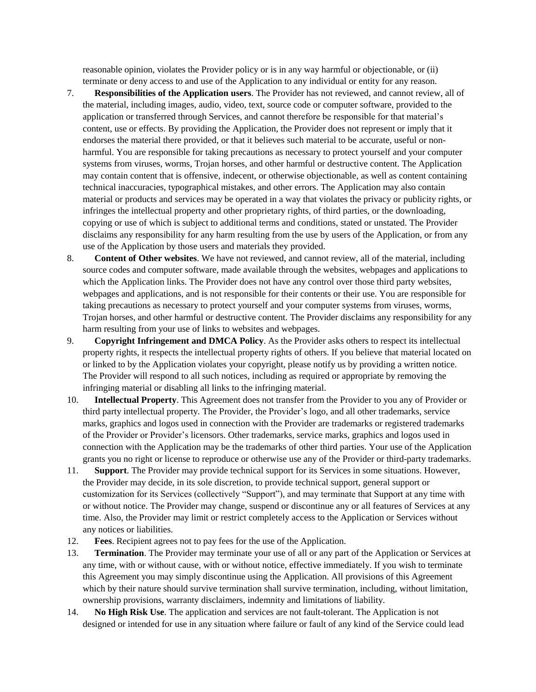reasonable opinion, violates the Provider policy or is in any way harmful or objectionable, or (ii) terminate or deny access to and use of the Application to any individual or entity for any reason.

- 7. **Responsibilities of the Application users**. The Provider has not reviewed, and cannot review, all of the material, including images, audio, video, text, source code or computer software, provided to the application or transferred through Services, and cannot therefore be responsible for that material's content, use or effects. By providing the Application, the Provider does not represent or imply that it endorses the material there provided, or that it believes such material to be accurate, useful or nonharmful. You are responsible for taking precautions as necessary to protect yourself and your computer systems from viruses, worms, Trojan horses, and other harmful or destructive content. The Application may contain content that is offensive, indecent, or otherwise objectionable, as well as content containing technical inaccuracies, typographical mistakes, and other errors. The Application may also contain material or products and services may be operated in a way that violates the privacy or publicity rights, or infringes the intellectual property and other proprietary rights, of third parties, or the downloading, copying or use of which is subject to additional terms and conditions, stated or unstated. The Provider disclaims any responsibility for any harm resulting from the use by users of the Application, or from any use of the Application by those users and materials they provided.
- 8. **Content of Other websites**. We have not reviewed, and cannot review, all of the material, including source codes and computer software, made available through the websites, webpages and applications to which the Application links. The Provider does not have any control over those third party websites, webpages and applications, and is not responsible for their contents or their use. You are responsible for taking precautions as necessary to protect yourself and your computer systems from viruses, worms, Trojan horses, and other harmful or destructive content. The Provider disclaims any responsibility for any harm resulting from your use of links to websites and webpages.
- 9. **Copyright Infringement and DMCA Policy**. As the Provider asks others to respect its intellectual property rights, it respects the intellectual property rights of others. If you believe that material located on or linked to by the Application violates your copyright, please notify us by providing a written notice. The Provider will respond to all such notices, including as required or appropriate by removing the infringing material or disabling all links to the infringing material.
- 10. **Intellectual Property**. This Agreement does not transfer from the Provider to you any of Provider or third party intellectual property. The Provider, the Provider's logo, and all other trademarks, service marks, graphics and logos used in connection with the Provider are trademarks or registered trademarks of the Provider or Provider's licensors. Other trademarks, service marks, graphics and logos used in connection with the Application may be the trademarks of other third parties. Your use of the Application grants you no right or license to reproduce or otherwise use any of the Provider or third-party trademarks.
- 11. **Support**. The Provider may provide technical support for its Services in some situations. However, the Provider may decide, in its sole discretion, to provide technical support, general support or customization for its Services (collectively "Support"), and may terminate that Support at any time with or without notice. The Provider may change, suspend or discontinue any or all features of Services at any time. Also, the Provider may limit or restrict completely access to the Application or Services without any notices or liabilities.
- 12. **Fees**. Recipient agrees not to pay fees for the use of the Application.
- 13. **Termination**. The Provider may terminate your use of all or any part of the Application or Services at any time, with or without cause, with or without notice, effective immediately. If you wish to terminate this Agreement you may simply discontinue using the Application. All provisions of this Agreement which by their nature should survive termination shall survive termination, including, without limitation, ownership provisions, warranty disclaimers, indemnity and limitations of liability.
- 14. **No High Risk Use**. The application and services are not fault-tolerant. The Application is not designed or intended for use in any situation where failure or fault of any kind of the Service could lead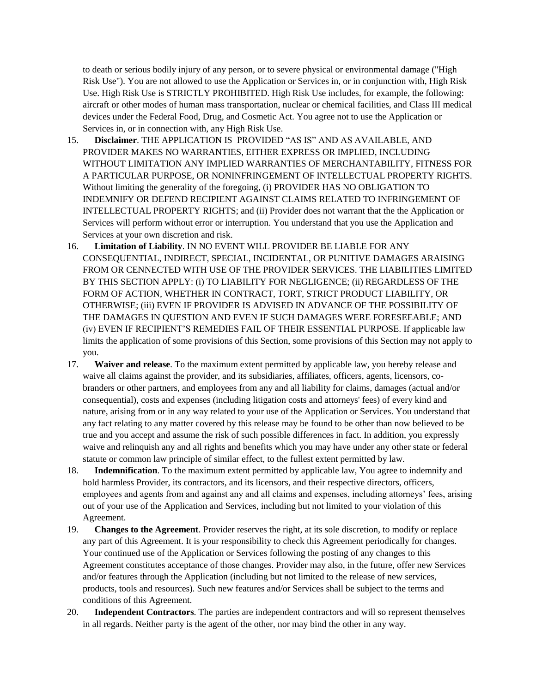to death or serious bodily injury of any person, or to severe physical or environmental damage ("High Risk Use"). You are not allowed to use the Application or Services in, or in conjunction with, High Risk Use. High Risk Use is STRICTLY PROHIBITED. High Risk Use includes, for example, the following: aircraft or other modes of human mass transportation, nuclear or chemical facilities, and Class III medical devices under the Federal Food, Drug, and Cosmetic Act. You agree not to use the Application or Services in, or in connection with, any High Risk Use.

- 15. **Disclaimer**. THE APPLICATION IS PROVIDED "AS IS" AND AS AVAILABLE, AND PROVIDER MAKES NO WARRANTIES, EITHER EXPRESS OR IMPLIED, INCLUDING WITHOUT LIMITATION ANY IMPLIED WARRANTIES OF MERCHANTABILITY, FITNESS FOR A PARTICULAR PURPOSE, OR NONINFRINGEMENT OF INTELLECTUAL PROPERTY RIGHTS. Without limiting the generality of the foregoing, (i) PROVIDER HAS NO OBLIGATION TO INDEMNIFY OR DEFEND RECIPIENT AGAINST CLAIMS RELATED TO INFRINGEMENT OF INTELLECTUAL PROPERTY RIGHTS; and (ii) Provider does not warrant that the the Application or Services will perform without error or interruption. You understand that you use the Application and Services at your own discretion and risk.
- 16. **Limitation of Liability**. IN NO EVENT WILL PROVIDER BE LIABLE FOR ANY CONSEQUENTIAL, INDIRECT, SPECIAL, INCIDENTAL, OR PUNITIVE DAMAGES ARAISING FROM OR CENNECTED WITH USE OF THE PROVIDER SERVICES. THE LIABILITIES LIMITED BY THIS SECTION APPLY: (i) TO LIABILITY FOR NEGLIGENCE; (ii) REGARDLESS OF THE FORM OF ACTION, WHETHER IN CONTRACT, TORT, STRICT PRODUCT LIABILITY, OR OTHERWISE; (iii) EVEN IF PROVIDER IS ADVISED IN ADVANCE OF THE POSSIBILITY OF THE DAMAGES IN QUESTION AND EVEN IF SUCH DAMAGES WERE FORESEEABLE; AND (iv) EVEN IF RECIPIENT'S REMEDIES FAIL OF THEIR ESSENTIAL PURPOSE. If applicable law limits the application of some provisions of this Section, some provisions of this Section may not apply to you.
- 17. **Waiver and release**. To the maximum extent permitted by applicable law, you hereby release and waive all claims against the provider, and its subsidiaries, affiliates, officers, agents, licensors, cobranders or other partners, and employees from any and all liability for claims, damages (actual and/or consequential), costs and expenses (including litigation costs and attorneys' fees) of every kind and nature, arising from or in any way related to your use of the Application or Services. You understand that any fact relating to any matter covered by this release may be found to be other than now believed to be true and you accept and assume the risk of such possible differences in fact. In addition, you expressly waive and relinquish any and all rights and benefits which you may have under any other state or federal statute or common law principle of similar effect, to the fullest extent permitted by law.
- 18. **Indemnification**. To the maximum extent permitted by applicable law, You agree to indemnify and hold harmless Provider, its contractors, and its licensors, and their respective directors, officers, employees and agents from and against any and all claims and expenses, including attorneys' fees, arising out of your use of the Application and Services, including but not limited to your violation of this Agreement.
- 19. **Changes to the Agreement**. Provider reserves the right, at its sole discretion, to modify or replace any part of this Agreement. It is your responsibility to check this Agreement periodically for changes. Your continued use of the Application or Services following the posting of any changes to this Agreement constitutes acceptance of those changes. Provider may also, in the future, offer new Services and/or features through the Application (including but not limited to the release of new services, products, tools and resources). Such new features and/or Services shall be subject to the terms and conditions of this Agreement.
- 20. **Independent Contractors**. The parties are independent contractors and will so represent themselves in all regards. Neither party is the agent of the other, nor may bind the other in any way.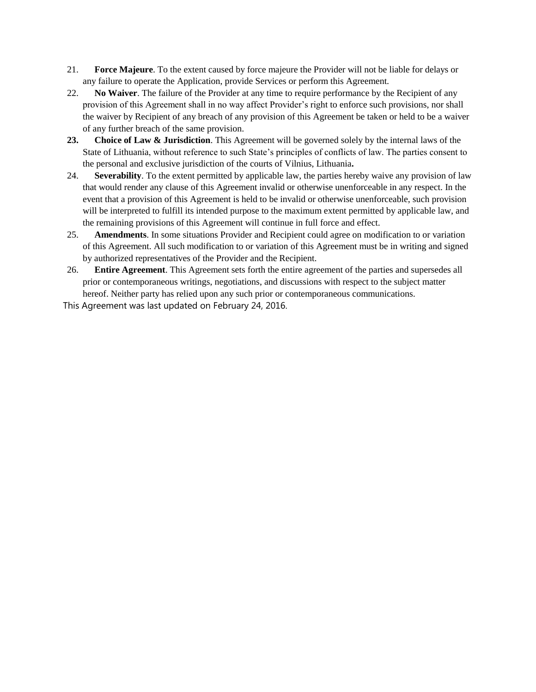- 21. **Force Majeure**. To the extent caused by force majeure the Provider will not be liable for delays or any failure to operate the Application, provide Services or perform this Agreement.
- 22. **No Waiver**. The failure of the Provider at any time to require performance by the Recipient of any provision of this Agreement shall in no way affect Provider's right to enforce such provisions, nor shall the waiver by Recipient of any breach of any provision of this Agreement be taken or held to be a waiver of any further breach of the same provision.
- **23. Choice of Law & Jurisdiction**. This Agreement will be governed solely by the internal laws of the State of Lithuania, without reference to such State's principles of conflicts of law. The parties consent to the personal and exclusive jurisdiction of the courts of Vilnius, Lithuania**.**
- 24. **Severability**. To the extent permitted by applicable law, the parties hereby waive any provision of law that would render any clause of this Agreement invalid or otherwise unenforceable in any respect. In the event that a provision of this Agreement is held to be invalid or otherwise unenforceable, such provision will be interpreted to fulfill its intended purpose to the maximum extent permitted by applicable law, and the remaining provisions of this Agreement will continue in full force and effect.
- 25. **Amendments**. In some situations Provider and Recipient could agree on modification to or variation of this Agreement. All such modification to or variation of this Agreement must be in writing and signed by authorized representatives of the Provider and the Recipient.
- 26. **Entire Agreement**. This Agreement sets forth the entire agreement of the parties and supersedes all prior or contemporaneous writings, negotiations, and discussions with respect to the subject matter hereof. Neither party has relied upon any such prior or contemporaneous communications.

This Agreement was last updated on February 24, 2016.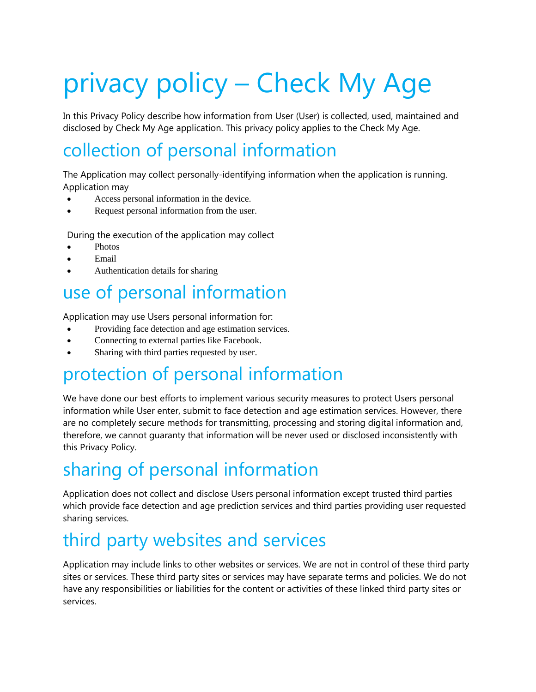# privacy policy – Check My Age

In this Privacy Policy describe how information from User (User) is collected, used, maintained and disclosed by Check My Age application. This privacy policy applies to the Check My Age.

#### collection of personal information

The Application may collect personally-identifying information when the application is running. Application may

- Access personal information in the device.
- Request personal information from the user.

During the execution of the application may collect

- Photos
- Email
- Authentication details for sharing

#### use of personal information

Application may use Users personal information for:

- Providing face detection and age estimation services.
- Connecting to external parties like Facebook.
- Sharing with third parties requested by user.

#### protection of personal information

We have done our best efforts to implement various security measures to protect Users personal information while User enter, submit to face detection and age estimation services. However, there are no completely secure methods for transmitting, processing and storing digital information and, therefore, we cannot guaranty that information will be never used or disclosed inconsistently with this Privacy Policy.

### sharing of personal information

Application does not collect and disclose Users personal information except trusted third parties which provide face detection and age prediction services and third parties providing user requested sharing services.

#### third party websites and services

Application may include links to other websites or services. We are not in control of these third party sites or services. These third party sites or services may have separate terms and policies. We do not have any responsibilities or liabilities for the content or activities of these linked third party sites or services.